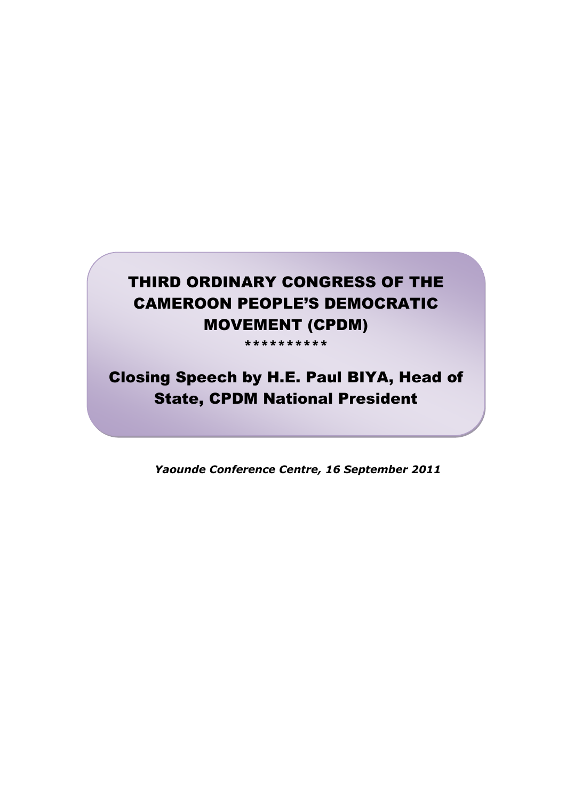## THIRD ORDINARY CONGRESS OF THE CAMEROON PEOPLE'S DEMOCRATIC MOVEMENT (CPDM)

\*\*\*\*\*\*\*\*\*\*

# Closing Speech by H.E. Paul BIYA, Head of State, CPDM National President

*Yaounde Conference Centre, 16 September 2011*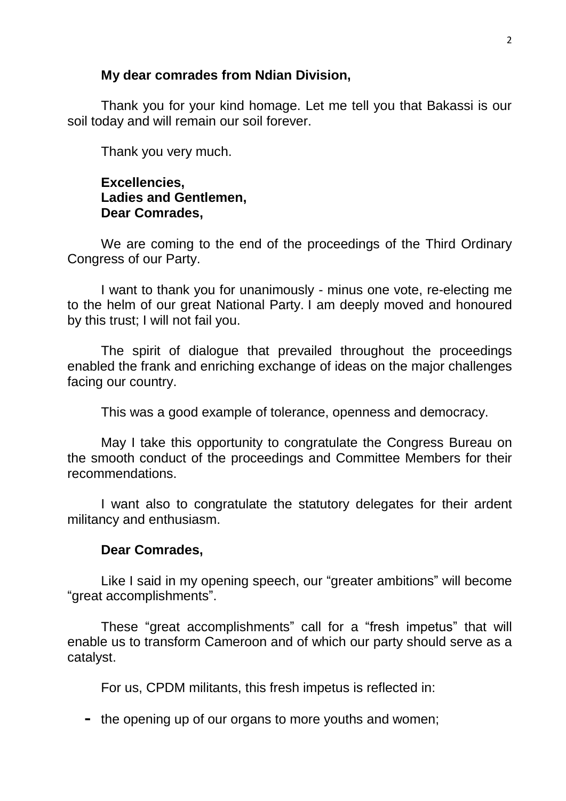#### **My dear comrades from Ndian Division,**

Thank you for your kind homage. Let me tell you that Bakassi is our soil today and will remain our soil forever.

Thank you very much.

#### **Excellencies, Ladies and Gentlemen, Dear Comrades,**

We are coming to the end of the proceedings of the Third Ordinary Congress of our Party.

I want to thank you for unanimously - minus one vote, re-electing me to the helm of our great National Party. I am deeply moved and honoured by this trust; I will not fail you.

The spirit of dialogue that prevailed throughout the proceedings enabled the frank and enriching exchange of ideas on the major challenges facing our country.

This was a good example of tolerance, openness and democracy.

May I take this opportunity to congratulate the Congress Bureau on the smooth conduct of the proceedings and Committee Members for their recommendations.

I want also to congratulate the statutory delegates for their ardent militancy and enthusiasm.

#### **Dear Comrades,**

Like I said in my opening speech, our "greater ambitions" will become "great accomplishments".

These "great accomplishments" call for a "fresh impetus" that will enable us to transform Cameroon and of which our party should serve as a catalyst.

For us, CPDM militants, this fresh impetus is reflected in:

**-** the opening up of our organs to more youths and women;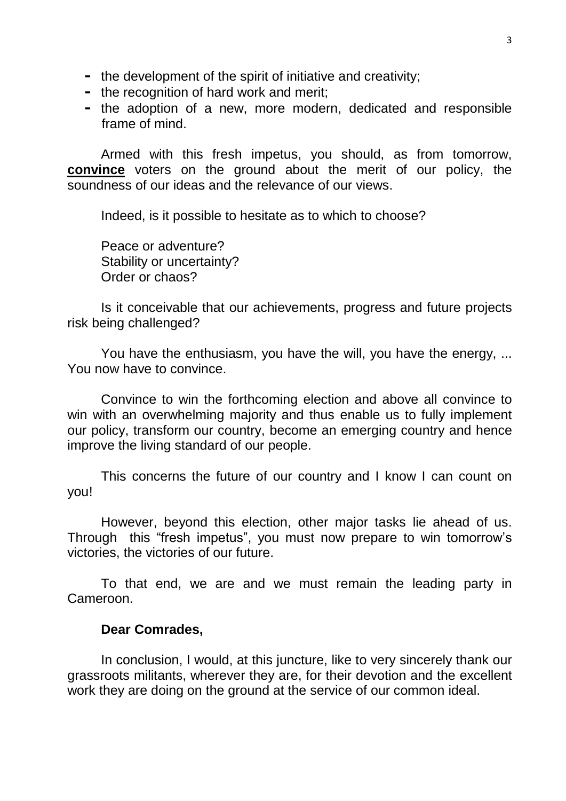- **-** the development of the spirit of initiative and creativity;
- **-** the recognition of hard work and merit;
- **-** the adoption of a new, more modern, dedicated and responsible frame of mind.

Armed with this fresh impetus, you should, as from tomorrow, **convince** voters on the ground about the merit of our policy, the soundness of our ideas and the relevance of our views.

Indeed, is it possible to hesitate as to which to choose?

Peace or adventure? Stability or uncertainty? Order or chaos?

Is it conceivable that our achievements, progress and future projects risk being challenged?

You have the enthusiasm, you have the will, you have the energy, ... You now have to convince.

Convince to win the forthcoming election and above all convince to win with an overwhelming majority and thus enable us to fully implement our policy, transform our country, become an emerging country and hence improve the living standard of our people.

This concerns the future of our country and I know I can count on you!

However, beyond this election, other major tasks lie ahead of us. Through this "fresh impetus", you must now prepare to win tomorrow's victories, the victories of our future.

To that end, we are and we must remain the leading party in Cameroon.

#### **Dear Comrades,**

In conclusion, I would, at this juncture, like to very sincerely thank our grassroots militants, wherever they are, for their devotion and the excellent work they are doing on the ground at the service of our common ideal.